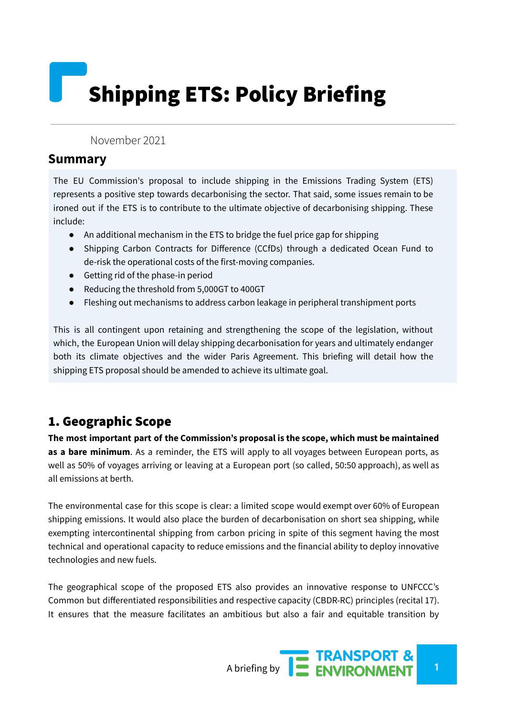# Shipping ETS: Policy Briefing

November 2021

#### **Summary**

The EU Commission's proposal to include shipping in the Emissions Trading System (ETS) represents a positive step towards decarbonising the sector. That said, some issues remain to be ironed out if the ETS is to contribute to the ultimate objective of decarbonising shipping. These include:

- An additional mechanism in the ETS to bridge the fuel price gap for shipping
- Shipping Carbon Contracts for Difference (CCfDs) through a dedicated Ocean Fund to de-risk the operational costs of the first-moving companies.
- Getting rid of the phase-in period
- Reducing the threshold from 5,000GT to 400GT
- Fleshing out mechanisms to address carbon leakage in peripheral transhipment ports

This is all contingent upon retaining and strengthening the scope of the legislation, without which, the European Union will delay shipping decarbonisation for years and ultimately endanger both its climate objectives and the wider Paris Agreement. This briefing will detail how the shipping ETS proposal should be amended to achieve its ultimate goal.

### 1. Geographic Scope

**The most important part of the Commission's proposal is the scope, which must be maintained as a bare minimum**. As a reminder, the ETS will apply to all voyages between European ports, as well as 50% of voyages arriving or leaving at a European port (so called, 50:50 approach), as well as all emissions at berth.

The environmental case for this scope is clear: a limited scope would exempt over 60% of European shipping emissions. It would also place the burden of decarbonisation on short sea shipping, while exempting intercontinental shipping from carbon pricing in spite of this segment having the most technical and operational capacity to reduce emissions and the financial ability to deploy innovative technologies and new fuels.

The geographical scope of the proposed ETS also provides an innovative response to UNFCCC's Common but differentiated responsibilities and respective capacity (CBDR-RC) principles (recital 17). It ensures that the measure facilitates an ambitious but also a fair and equitable transition by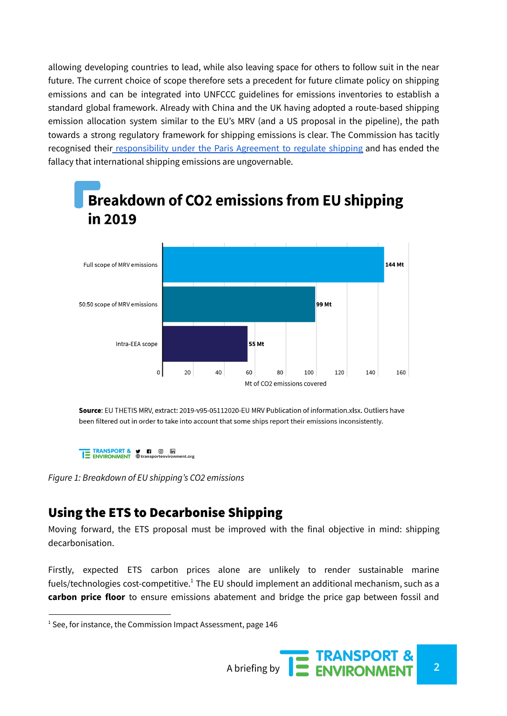allowing developing countries to lead, while also leaving space for others to follow suit in the near future. The current choice of scope therefore sets a precedent for future climate policy on shipping emissions and can be integrated into UNFCCC guidelines for emissions inventories to establish a standard global framework. Already with China and the UK having adopted a route-based shipping emission allocation system similar to the EU's MRV (and a US proposal in the pipeline), the path towards a strong regulatory framework for shipping emissions is clear. The Commission has tacitly recognised their [responsibility](https://www.transportenvironment.org/discover/shipping-and-aviation-are-subject-to-the-paris-agreement-legal-analysis-shows/) under the Paris Agreement to regulate shipping and has ended the fallacy that international shipping emissions are ungovernable.



Source: EU THETIS MRV, extract: 2019-v95-05112020-EU MRV Publication of information.xlsx. Outliers have been filtered out in order to take into account that some ships report their emissions inconsistently.

*Figure 1: Breakdown of EU shipping's CO2 emissions*

#### Using the ETS to Decarbonise Shipping

Moving forward, the ETS proposal must be improved with the final objective in mind: shipping decarbonisation.

Firstly, expected ETS carbon prices alone are unlikely to render sustainable marine fuels/technologies cost-competitive.<sup>1</sup> The EU should implement an additional mechanism, such as a **carbon price floor** to ensure emissions abatement and bridge the price gap between fossil and

 $1$  See, for instance, the Commission Impact Assessment, page 146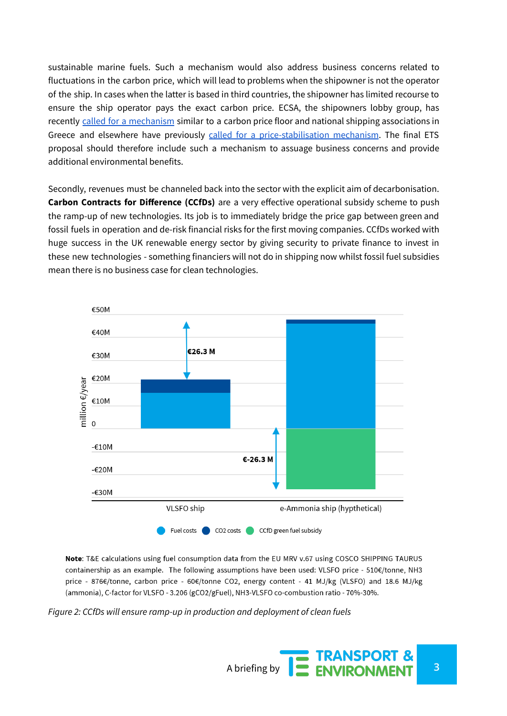sustainable marine fuels. Such a mechanism would also address business concerns related to fluctuations in the carbon price, which will lead to problems when the shipowner is not the operator of the ship. In cases when the latter is based in third countries, the shipowner has limited recourse to ensure the ship operator pays the exact carbon price. ECSA, the shipowners lobby group, has recently called for a [mechanism](https://www.ecsa.eu/index.php/news/european-shipowners-support-commercial-operators-bear-costs-eu-ets-and-call-sector-dedicated) similar to a carbon price floor and national shipping associations in Greece and elsewhere have previously called for a [price-stabilisation](https://www.transportenvironment.org/discover/europes-shipowners-have-called-polluter-pays-principle-be-core-eus-new-ets-proposal/) mechanism. The final ETS proposal should therefore include such a mechanism to assuage business concerns and provide additional environmental benefits.

Secondly, revenues must be channeled back into the sector with the explicit aim of decarbonisation. **Carbon Contracts for Difference (CCfDs)** are a very effective operational subsidy scheme to push the ramp-up of new technologies. Its job is to immediately bridge the price gap between green and fossil fuels in operation and de-risk financial risks for the first moving companies. CCfDs worked with huge success in the UK renewable energy sector by giving security to private finance to invest in these new technologies - something financiers will not do in shipping now whilst fossil fuel subsidies mean there is no business case for clean technologies.



Note: T&E calculations using fuel consumption data from the EU MRV v.67 using COSCO SHIPPING TAURUS containership as an example. The following assumptions have been used: VLSFO price - 510€/tonne, NH3 price - 876€/tonne, carbon price - 60€/tonne CO2, energy content - 41 MJ/kg (VLSFO) and 18.6 MJ/kg (ammonia), C-factor for VLSFO - 3.206 (gCO2/gFuel), NH3-VLSFO co-combustion ratio - 70%-30%.

*Figure 2: CCfDs will ensure ramp-up in production and deployment of clean fuels*

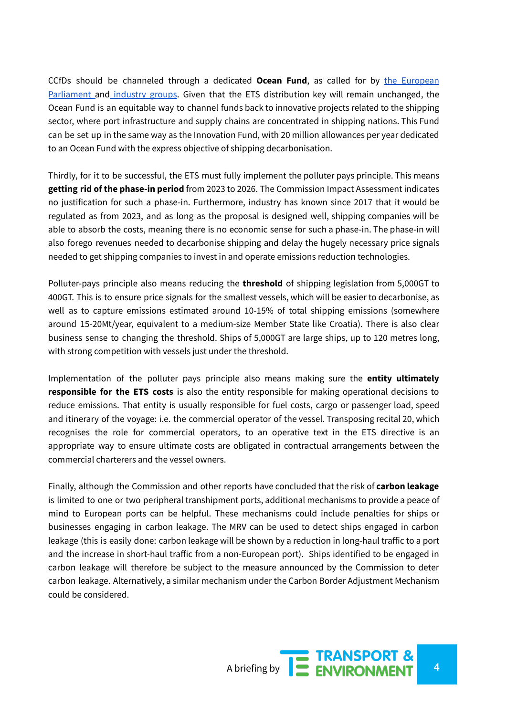CCfDs should be channeled through a dedicated **Ocean Fund**, as called for by the [European](https://www.europarl.europa.eu/doceo/document/A-9-2020-0144_EN.pdf) [Parliament](https://www.europarl.europa.eu/doceo/document/A-9-2020-0144_EN.pdf) and [industry](https://www.ecsa.eu/index.php/news/european-shipowners-support-commercial-operators-bear-costs-eu-ets-and-call-sector-dedicated) groups. Given that the ETS distribution key will remain unchanged, the Ocean Fund is an equitable way to channel funds back to innovative projects related to the shipping sector, where port infrastructure and supply chains are concentrated in shipping nations. This Fund can be set up in the same way as the Innovation Fund, with 20 million allowances per year dedicated to an Ocean Fund with the express objective of shipping decarbonisation.

Thirdly, for it to be successful, the ETS must fully implement the polluter pays principle. This means **getting rid of the phase-in period** from 2023 to 2026. The Commission Impact Assessment indicates no justification for such a phase-in. Furthermore, industry has known since 2017 that it would be regulated as from 2023, and as long as the proposal is designed well, shipping companies will be able to absorb the costs, meaning there is no economic sense for such a phase-in. The phase-in will also forego revenues needed to decarbonise shipping and delay the hugely necessary price signals needed to get shipping companies to invest in and operate emissions reduction technologies.

Polluter-pays principle also means reducing the **threshold** of shipping legislation from 5,000GT to 400GT. This is to ensure price signals for the smallest vessels, which will be easier to decarbonise, as well as to capture emissions estimated around 10-15% of total shipping emissions (somewhere around 15-20Mt/year, equivalent to a medium-size Member State like Croatia). There is also clear business sense to changing the threshold. Ships of 5,000GT are large ships, up to 120 metres long, with strong competition with vessels just under the threshold.

Implementation of the polluter pays principle also means making sure the **entity ultimately responsible for the ETS costs** is also the entity responsible for making operational decisions to reduce emissions. That entity is usually responsible for fuel costs, cargo or passenger load, speed and itinerary of the voyage: i.e. the commercial operator of the vessel. Transposing recital 20, which recognises the role for commercial operators, to an operative text in the ETS directive is an appropriate way to ensure ultimate costs are obligated in contractual arrangements between the commercial charterers and the vessel owners.

Finally, although the Commission and other reports have concluded that the risk of **carbon leakage** is limited to one or two peripheral transhipment ports, additional mechanisms to provide a peace of mind to European ports can be helpful. These mechanisms could include penalties for ships or businesses engaging in carbon leakage. The MRV can be used to detect ships engaged in carbon leakage (this is easily done: carbon leakage will be shown by a reduction in long-haul traffic to a port and the increase in short-haul traffic from a non-European port). Ships identified to be engaged in carbon leakage will therefore be subject to the measure announced by the Commission to deter carbon leakage. Alternatively, a similar mechanism under the Carbon Border Adjustment Mechanism could be considered.

A briefing by **4 ENVIRONMENT**